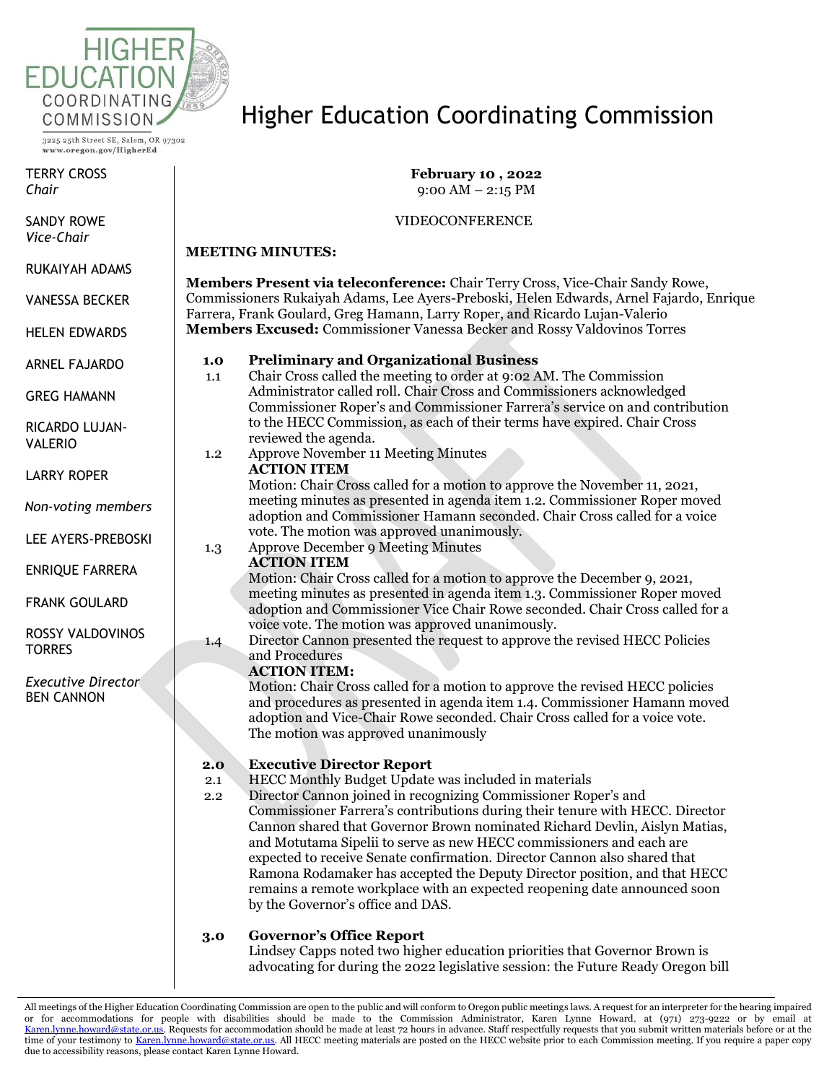

TERRY CROSS *Chair*

SANDY ROWE *Vice-Chair*

RUKAIYAH ADAMS

VANESSA BECKER

HELEN EDWARDS

ARNEL FAJARDO

GREG HAMANN

RICARDO LUJAN-VALERIO

LARRY ROPER

*Non-voting members*

LEE AYERS-PREBOSKI

ENRIQUE FARRERA

FRANK GOULARD

ROSSY VALDOVINOS **TORRES** 

*Executive Director* BEN CANNON

# Higher Education Coordinating Commission

**February 10 , 2022**  $9:00$  AM  $-2:15$  PM

## VIDEOCONFERENCE

## **MEETING MINUTES:**

**Members Present via teleconference:** Chair Terry Cross, Vice-Chair Sandy Rowe, Commissioners Rukaiyah Adams, Lee Ayers-Preboski, Helen Edwards, Arnel Fajardo, Enrique Farrera, Frank Goulard, Greg Hamann, Larry Roper, and Ricardo Lujan-Valerio **Members Excused:** Commissioner Vanessa Becker and Rossy Valdovinos Torres

## **1.0 Preliminary and Organizational Business**

- 1.1 Chair Cross called the meeting to order at 9:02 AM. The Commission Administrator called roll. Chair Cross and Commissioners acknowledged Commissioner Roper's and Commissioner Farrera's service on and contribution to the HECC Commission, as each of their terms have expired. Chair Cross reviewed the agenda.
- 1.2 Approve November 11 Meeting Minutes **ACTION ITEM**

Motion: Chair Cross called for a motion to approve the November 11, 2021, meeting minutes as presented in agenda item 1.2. Commissioner Roper moved adoption and Commissioner Hamann seconded. Chair Cross called for a voice vote. The motion was approved unanimously.

1.3 Approve December 9 Meeting Minutes

## **ACTION ITEM**

Motion: Chair Cross called for a motion to approve the December 9, 2021, meeting minutes as presented in agenda item 1.3. Commissioner Roper moved adoption and Commissioner Vice Chair Rowe seconded. Chair Cross called for a voice vote. The motion was approved unanimously.

1.4 Director Cannon presented the request to approve the revised HECC Policies and Procedures

## **ACTION ITEM:**

Motion: Chair Cross called for a motion to approve the revised HECC policies and procedures as presented in agenda item 1.4. Commissioner Hamann moved adoption and Vice-Chair Rowe seconded. Chair Cross called for a voice vote. The motion was approved unanimously

## **2.0 Executive Director Report**

- 2.1 HECC Monthly Budget Update was included in materials
- 2.2 Director Cannon joined in recognizing Commissioner Roper's and Commissioner Farrera's contributions during their tenure with HECC. Director Cannon shared that Governor Brown nominated Richard Devlin, Aislyn Matias, and Motutama Sipelii to serve as new HECC commissioners and each are expected to receive Senate confirmation. Director Cannon also shared that Ramona Rodamaker has accepted the Deputy Director position, and that HECC remains a remote workplace with an expected reopening date announced soon by the Governor's office and DAS.

## **3.0 Governor's Office Report**

Lindsey Capps noted two higher education priorities that Governor Brown is advocating for during the 2022 legislative session: the Future Ready Oregon bill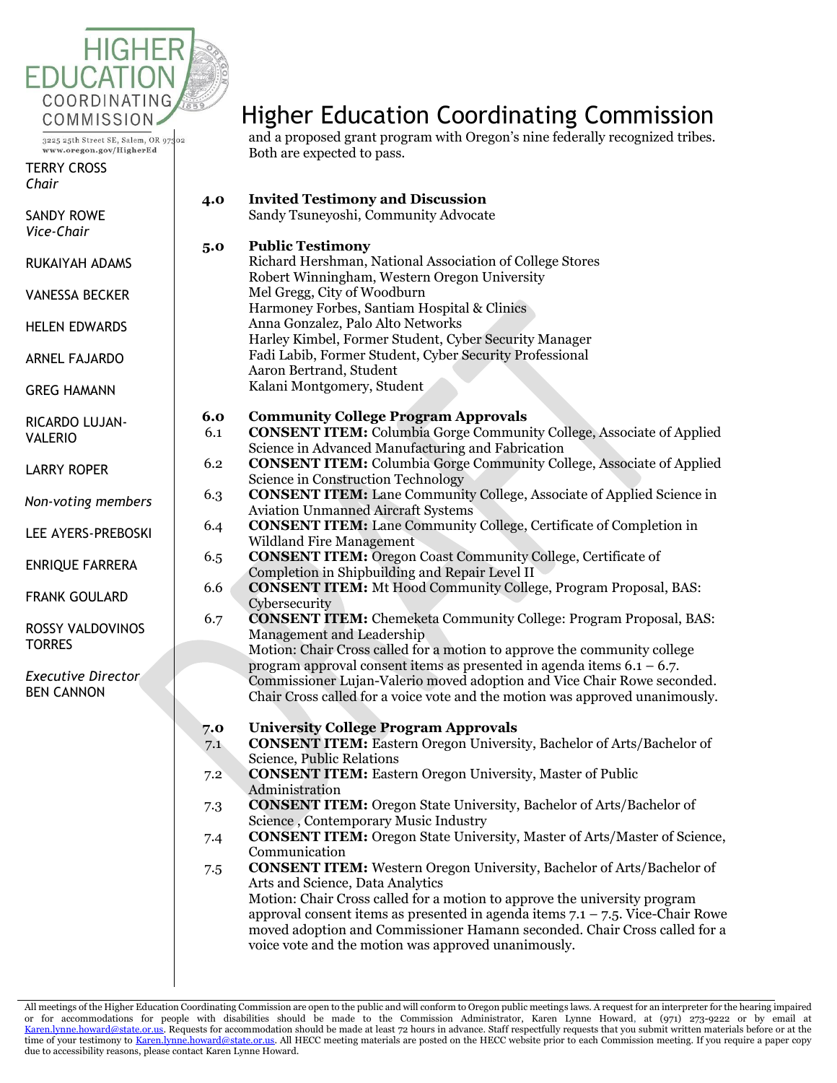

TERRY CROSS *Chair*

SANDY ROWE *Vice-Chair*

RUKAIYAH ADAMS

VANESSA BECKER

HELEN EDWARDS

ARNEL FAJARDO

GREG HAMANN

RICARDO LUJAN-VALERIO

LARRY ROPER

*Non-voting members*

LEE AYERS-PREBOSKI

ENRIQUE FARRERA

FRANK GOULARD

ROSSY VALDOVINOS **TORRES** 

*Executive Director* BEN CANNON

# Higher Education Coordinating Commission

and a proposed grant program with Oregon's nine federally recognized tribes. Both are expected to pass.

| 4.0 | <b>Invited Testimony and Discussion</b><br>Sandy Tsuneyoshi, Community Advocate                                                                                                                                                                                                                                                                                                                                                     |
|-----|-------------------------------------------------------------------------------------------------------------------------------------------------------------------------------------------------------------------------------------------------------------------------------------------------------------------------------------------------------------------------------------------------------------------------------------|
| 5.0 | <b>Public Testimony</b><br>Richard Hershman, National Association of College Stores<br>Robert Winningham, Western Oregon University<br>Mel Gregg, City of Woodburn<br>Harmoney Forbes, Santiam Hospital & Clinics<br>Anna Gonzalez, Palo Alto Networks<br>Harley Kimbel, Former Student, Cyber Security Manager<br>Fadi Labib, Former Student, Cyber Security Professional<br>Aaron Bertrand, Student<br>Kalani Montgomery, Student |
| 6.0 | <b>Community College Program Approvals</b>                                                                                                                                                                                                                                                                                                                                                                                          |
| 6.1 | <b>CONSENT ITEM:</b> Columbia Gorge Community College, Associate of Applied<br>Science in Advanced Manufacturing and Fabrication                                                                                                                                                                                                                                                                                                    |
| 6.2 | <b>CONSENT ITEM:</b> Columbia Gorge Community College, Associate of Applied<br>Science in Construction Technology                                                                                                                                                                                                                                                                                                                   |
| 6.3 | <b>CONSENT ITEM:</b> Lane Community College, Associate of Applied Science in<br><b>Aviation Unmanned Aircraft Systems</b>                                                                                                                                                                                                                                                                                                           |
| 6.4 | <b>CONSENT ITEM:</b> Lane Community College, Certificate of Completion in<br><b>Wildland Fire Management</b>                                                                                                                                                                                                                                                                                                                        |
| 6.5 | <b>CONSENT ITEM:</b> Oregon Coast Community College, Certificate of<br>Completion in Shipbuilding and Repair Level II                                                                                                                                                                                                                                                                                                               |
| 6.6 | <b>CONSENT ITEM:</b> Mt Hood Community College, Program Proposal, BAS:<br>Cybersecurity                                                                                                                                                                                                                                                                                                                                             |
| 6.7 | <b>CONSENT ITEM:</b> Chemeketa Community College: Program Proposal, BAS:<br>Management and Leadership                                                                                                                                                                                                                                                                                                                               |
|     | Motion: Chair Cross called for a motion to approve the community college                                                                                                                                                                                                                                                                                                                                                            |
|     | program approval consent items as presented in agenda items $6.1 - 6.7$ .                                                                                                                                                                                                                                                                                                                                                           |
|     | Commissioner Lujan-Valerio moved adoption and Vice Chair Rowe seconded.<br>Chair Cross called for a voice vote and the motion was approved unanimously.                                                                                                                                                                                                                                                                             |
| 7.0 | <b>University College Program Approvals</b>                                                                                                                                                                                                                                                                                                                                                                                         |
| 7.1 | <b>CONSENT ITEM:</b> Eastern Oregon University, Bachelor of Arts/Bachelor of<br>Science, Public Relations                                                                                                                                                                                                                                                                                                                           |
| 7.2 | <b>CONSENT ITEM:</b> Eastern Oregon University, Master of Public<br>Administration                                                                                                                                                                                                                                                                                                                                                  |
| 7.3 | <b>CONSENT ITEM:</b> Oregon State University, Bachelor of Arts/Bachelor of<br>Science, Contemporary Music Industry                                                                                                                                                                                                                                                                                                                  |
| 7.4 | <b>CONSENT ITEM:</b> Oregon State University, Master of Arts/Master of Science,<br>Communication                                                                                                                                                                                                                                                                                                                                    |
| 7.5 | <b>CONSENT ITEM:</b> Western Oregon University, Bachelor of Arts/Bachelor of<br>Arts and Science, Data Analytics                                                                                                                                                                                                                                                                                                                    |
|     | Motion: Chair Cross called for a motion to approve the university program<br>approval consent items as presented in agenda items $7.1 - 7.5$ . Vice-Chair Rowe<br>moved adoption and Commissioner Hamann seconded. Chair Cross called for a<br>voice vote and the motion was approved unanimously.                                                                                                                                  |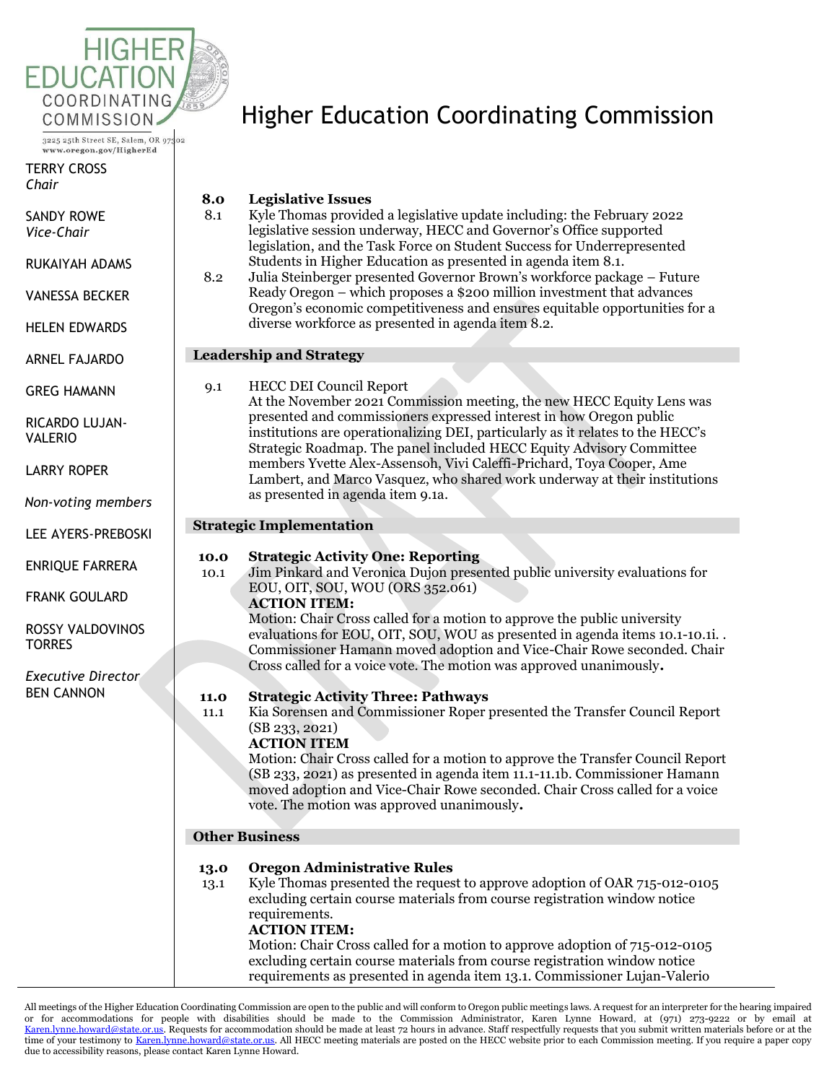

TERRY CROSS *Chair*

SANDY ROWE *Vice-Chair*

RUKAIYAH ADAMS

VANESSA BECKER

HELEN EDWARDS

ARNEL FAJARDO

GREG HAMANN

RICARDO LUJAN-VALERIO

LARRY ROPER

*Non-voting members*

LEE AYERS-PREBOSKI

ENRIQUE FARRERA

FRANK GOULARD

ROSSY VALDOVINOS **TORRES** 

*Executive Director* BEN CANNON

# Higher Education Coordinating Commission

# **8.0 Legislative Issues**

- 8.1 Kyle Thomas provided a legislative update including: the February 2022 legislative session underway, HECC and Governor's Office supported legislation, and the Task Force on Student Success for Underrepresented Students in Higher Education as presented in agenda item 8.1.
- 8.2 Julia Steinberger presented Governor Brown's workforce package Future Ready Oregon – which proposes a \$200 million investment that advances Oregon's economic competitiveness and ensures equitable opportunities for a diverse workforce as presented in agenda item 8.2.

# **Leadership and Strategy**

9.1 HECC DEI Council Report At the November 2021 Commission meeting, the new HECC Equity Lens was presented and commissioners expressed interest in how Oregon public institutions are operationalizing DEI, particularly as it relates to the HECC's Strategic Roadmap. The panel included HECC Equity Advisory Committee members Yvette Alex-Assensoh, Vivi Caleffi-Prichard, Toya Cooper, Ame Lambert, and Marco Vasquez, who shared work underway at their institutions as presented in agenda item 9.1a.

# **Strategic Implementation**

## **10.0 Strategic Activity One: Reporting**

10.1 Jim Pinkard and Veronica Dujon presented public university evaluations for EOU, OIT, SOU, WOU (ORS 352.061)

## **ACTION ITEM:**

Motion: Chair Cross called for a motion to approve the public university evaluations for EOU, OIT, SOU, WOU as presented in agenda items 10.1-10.1i. . Commissioner Hamann moved adoption and Vice-Chair Rowe seconded. Chair Cross called for a voice vote. The motion was approved unanimously**.**

## **11.0 Strategic Activity Three: Pathways**

11.1 Kia Sorensen and Commissioner Roper presented the Transfer Council Report (SB 233, 2021)

# **ACTION ITEM**

Motion: Chair Cross called for a motion to approve the Transfer Council Report (SB 233, 2021) as presented in agenda item 11.1-11.1b. Commissioner Hamann moved adoption and Vice-Chair Rowe seconded. Chair Cross called for a voice vote. The motion was approved unanimously**.**

## **Other Business**

# **13.0 Oregon Administrative Rules**

13.1 Kyle Thomas presented the request to approve adoption of OAR 715-012-0105 excluding certain course materials from course registration window notice requirements. **ACTION ITEM:** 

## Motion: Chair Cross called for a motion to approve adoption of 715-012-0105 excluding certain course materials from course registration window notice requirements as presented in agenda item 13.1. Commissioner Lujan-Valerio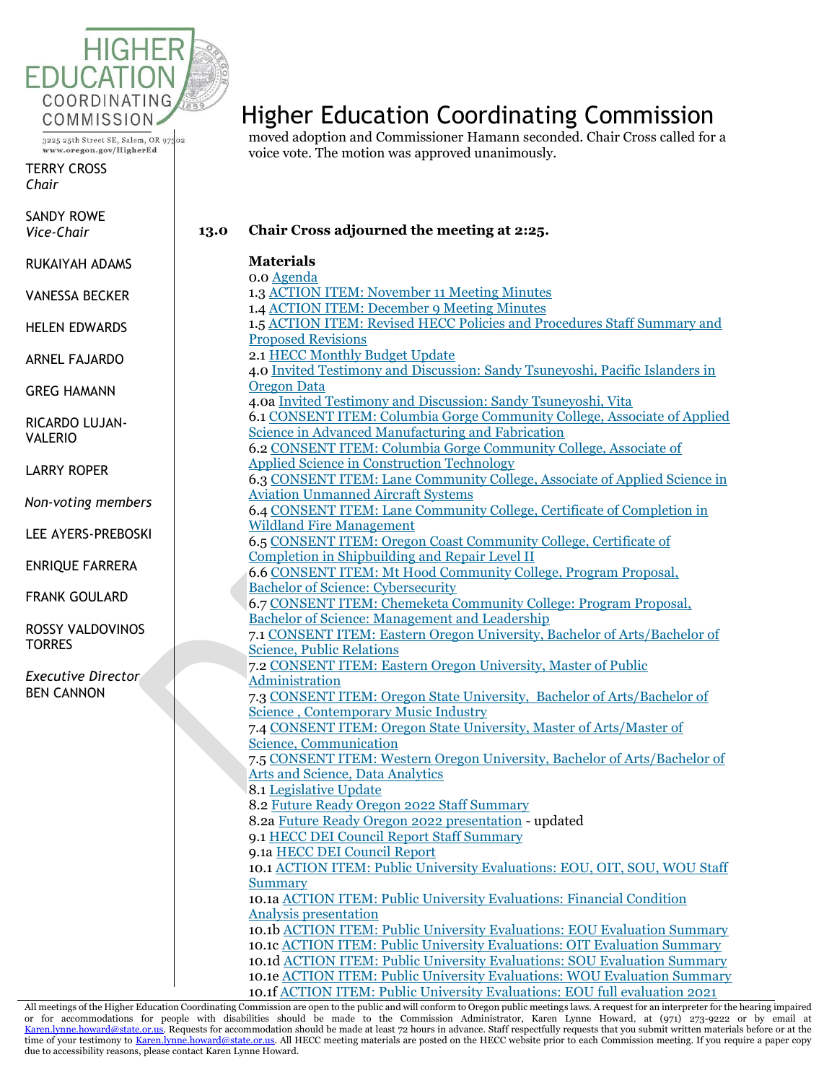

TERRY CROSS *Chair*

SANDY ROWE *Vice-Chair*

RUKAIYAH ADAMS

VANESSA BECKER

HELEN EDWARDS

ARNEL FAJARDO

GREG HAMANN

RICARDO LUJAN-VALERIO

LARRY ROPER

*Non-voting members*

LEE AYERS-PREBOSKI

ENRIQUE FARRERA

FRANK GOULARD

ROSSY VALDOVINOS **TORRES** 

*Executive Director* BEN CANNON

# Higher Education Coordinating Commission

moved adoption and Commissioner Hamann seconded. Chair Cross called for a voice vote. The motion was approved unanimously.

**13.0 Chair Cross adjourned the meeting at 2:25.**

| <b>Materials</b>                                                                                                   |
|--------------------------------------------------------------------------------------------------------------------|
| 0.0 Agenda                                                                                                         |
| 1.3 ACTION ITEM: November 11 Meeting Minutes                                                                       |
| 1.4 ACTION ITEM: December 9 Meeting Minutes                                                                        |
| 1.5 ACTION ITEM: Revised HECC Policies and Procedures Staff Summary and                                            |
| <b>Proposed Revisions</b>                                                                                          |
| 2.1 HECC Monthly Budget Update                                                                                     |
| 4.0 Invited Testimony and Discussion: Sandy Tsuneyoshi, Pacific Islanders in                                       |
| <b>Oregon Data</b>                                                                                                 |
| 4.0a Invited Testimony and Discussion: Sandy Tsuneyoshi, Vita                                                      |
| 6.1 CONSENT ITEM: Columbia Gorge Community College, Associate of Applied                                           |
| Science in Advanced Manufacturing and Fabrication                                                                  |
| 6.2 CONSENT ITEM: Columbia Gorge Community College, Associate of                                                   |
| <b>Applied Science in Construction Technology</b>                                                                  |
| 6.3 CONSENT ITEM: Lane Community College, Associate of Applied Science in                                          |
| <b>Aviation Unmanned Aircraft Systems</b>                                                                          |
| 6.4 CONSENT ITEM: Lane Community College, Certificate of Completion in                                             |
| <b>Wildland Fire Management</b>                                                                                    |
| 6.5 CONSENT ITEM: Oregon Coast Community College, Certificate of                                                   |
| Completion in Shipbuilding and Repair Level II                                                                     |
| 6.6 CONSENT ITEM: Mt Hood Community College, Program Proposal,                                                     |
| <b>Bachelor of Science: Cybersecurity</b>                                                                          |
| 6.7 CONSENT ITEM: Chemeketa Community College: Program Proposal,                                                   |
| <b>Bachelor of Science: Management and Leadership</b>                                                              |
| 7.1 CONSENT ITEM: Eastern Oregon University, Bachelor of Arts/Bachelor of                                          |
| <b>Science, Public Relations</b>                                                                                   |
| 7.2 CONSENT ITEM: Eastern Oregon University, Master of Public                                                      |
| <b>Administration</b>                                                                                              |
| 7.3 CONSENT ITEM: Oregon State University, Bachelor of Arts/Bachelor of                                            |
| <b>Science, Contemporary Music Industry</b><br>7.4 CONSENT ITEM: Oregon State University, Master of Arts/Master of |
| <b>Science, Communication</b>                                                                                      |
| 7.5 CONSENT ITEM: Western Oregon University, Bachelor of Arts/Bachelor of                                          |
| <b>Arts and Science, Data Analytics</b>                                                                            |
| 8.1 Legislative Update                                                                                             |
| 8.2 Future Ready Oregon 2022 Staff Summary                                                                         |
| 8.2a Future Ready Oregon 2022 presentation - updated                                                               |
| 9.1 HECC DEI Council Report Staff Summary                                                                          |
| 9.1a HECC DEI Council Report                                                                                       |
| 10.1 ACTION ITEM: Public University Evaluations: EOU, OIT, SOU, WOU Staff                                          |
| <b>Summary</b>                                                                                                     |
| 10.1a ACTION ITEM: Public University Evaluations: Financial Condition                                              |
| <b>Analysis presentation</b>                                                                                       |
| 10.1b ACTION ITEM: Public University Evaluations: EOU Evaluation Summary                                           |
| 10.1c ACTION ITEM: Public University Evaluations: OIT Evaluation Summary                                           |
| 10.1d ACTION ITEM: Public University Evaluations: SOU Evaluation Summary                                           |
| 10.1e ACTION ITEM: Public University Evaluations: WOU Evaluation Summary                                           |
| 10.1f ACTION ITEM: Public University Evaluations: EOU full evaluation 2021                                         |